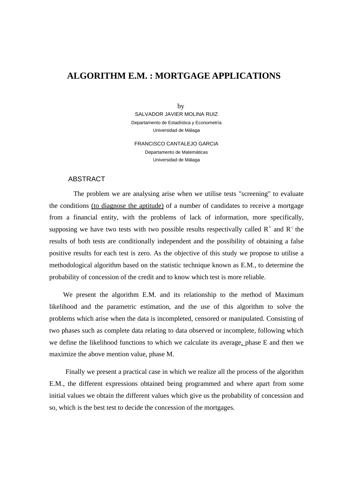# **ALGORITHM E.M. : MORTGAGE APPLICATIONS**

 by SALVADOR JAVIER MOLINA RUIZ Departamento de Estadística y Econometría Universidad de Málaga

FRANCISCO CANTALEJO GARCIA Departamento de Matemáticas Universidad de Málaga

#### ABSTRACT

 The problem we are analysing arise when we utilise tests "screening" to evaluate the conditions (to diagnose the aptitude) of a number of candidates to receive a mortgage from a financial entity, with the problems of lack of information, more specifically, supposing we have two tests with two possible results respectivally called  $R^+$  and  $R^+$ ; the results of both tests are conditionally independent and the possibility of obtaining a false positive results for each test is zero. As the objective of this study we propose to utilise a methodological algorithm based on the statistic technique known as E.M., to determine the probability of concession of the credit and to know which test is more reliable.

 We present the algorithm E.M. and its relationship to the method of Maximum likelihood and the parametric estimation, and the use of this algorithm to solve the problems which arise when the data is incompleted, censored or manipulated. Consisting of two phases such as complete data relating to data observed or incomplete, following which we define the likelihood functions to which we calculate its average, phase E and then we maximize the above mention value, phase M.

 Finally we present a practical case in which we realize all the process of the algorithm E.M., the different expressions obtained being programmed and where apart from some initial values we obtain the different values which give us the probability of concession and so, which is the best test to decide the concession of the mortgages.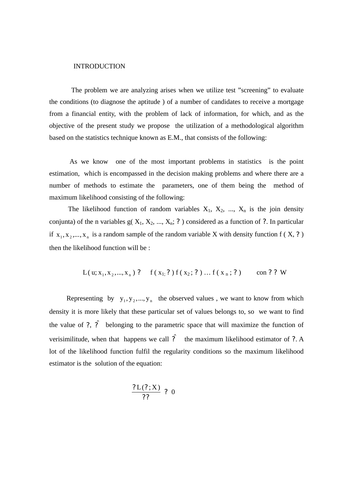#### INTRODUCTION

 The problem we are analyzing arises when we utilize test "screening" to evaluate the conditions (to diagnose the aptitude ) of a number of candidates to receive a mortgage from a financial entity, with the problem of lack of information, for which, and as the objective of the present study we propose the utilization of a methodological algorithm based on the statistics technique known as E.M., that consists of the following:

 As we know one of the most important problems in statistics is the point estimation, which is encompassed in the decision making problems and where there are a number of methods to estimate the parameters, one of them being the method of maximum likelihood consisting of the following:

The likelihood function of random variables  $X_1$ ,  $X_2$ , ...,  $X_n$  is the join density conjunta) of the n variables  $g(X_1, X_2, ..., X_n; ?)$  considered as a function of ?. In particular if  $x_1, x_2, ..., x_n$  is a random sample of the random variable X with density function f (X, ?) then the likelihood function will be :

$$
L(u; x_1, x_2, ..., x_n) ? \quad f(x_1; ?) f(x_2; ?) ... f(x_n; ?) \quad \text{con } ? ? W
$$

Representing by  $y_1, y_2, ..., y_n$  the observed values, we want to know from which density it is more likely that these particular set of values belongs to, so we want to find the value of ?,  $\hat{?}$  belonging to the parametric space that will maximize the function of verisimilitude, when that happens we call  $\hat{P}$  the maximum likelihood estimator of ?. A lot of the likelihood function fulfil the regularity conditions so the maximum likelihood estimator is the solution of the equation:

$$
\frac{?L(?,X)}{??} \begin{array}{c} ? & 0 \\ \end{array}
$$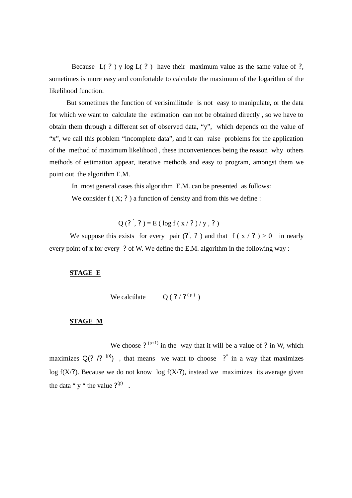Because  $L(?)$  y log  $L(?)$  have their maximum value as the same value of ?, sometimes is more easy and comfortable to calculate the maximum of the logarithm of the likelihood function.

 But sometimes the function of verisimilitude is not easy to manipulate, or the data for which we want to calculate the estimation can not be obtained directly , so we have to obtain them through a different set of observed data, "y", which depends on the value of "x", we call this problem "incomplete data", and it can raise problems for the application of the method of maximum likelihood , these inconveniences being the reason why others methods of estimation appear, iterative methods and easy to program, amongst them we point out the algorithm E.M.

In most general cases this algorithm E.M. can be presented as follows:

We consider  $f(X; ?)$  a function of density and from this we define :

 $Q(?^{\prime}, ?) = E(\log f(x / ?) / y, ?)$ 

We suppose this exists for every pair  $(?, ?)$  and that  $f(x / ?) > 0$  in nearly every point of x for every ? of W. We define the E.M. algorithm in the following way :

### **STAGE E**

We calcúlate  $Q(?)$  ( ? / ?  $(P)$ )

### **STAGE M**

We choose ?  $(p+1)$  in the way that it will be a value of ? in W, which maximizes  $Q(? \tbinom{p}{?} Q)$ , that means we want to choose  $?^*$  in a way that maximizes log  $f(X')$ . Because we do not know log  $f(X')$ , instead we maximizes its average given the data "  $y$  " the value  $?^{(p)}$ .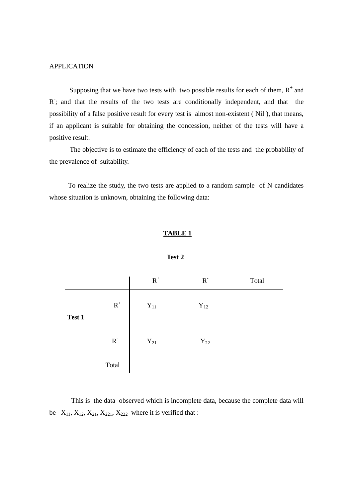### APPLICATION

Supposing that we have two tests with two possible results for each of them,  $R^+$  and R; and that the results of the two tests are conditionally independent, and that the possibility of a false positive result for every test is almost non-existent ( Nil ), that means, if an applicant is suitable for obtaining the concession, neither of the tests will have a positive result.

 The objective is to estimate the efficiency of each of the tests and the probability of the prevalence of suitability.

 To realize the study, the two tests are applied to a random sample of N candidates whose situation is unknown, obtaining the following data:

### **TABLE 1**

|        |                         | ${\bf R}^+$       | $\rm R^-$         | Total |
|--------|-------------------------|-------------------|-------------------|-------|
| Test 1 | $\mbox{\bf R}^+$        | $\mathbf{Y}_{11}$ | $\mathbf{Y}_{12}$ |       |
|        | $\mathbf{R}^{\text{-}}$ | $Y_{21}$          | $\mathbf{Y}_{22}$ |       |
|        | Total                   |                   |                   |       |

**Test 2** 

 This is the data observed which is incomplete data, because the complete data will be  $X_{11}$ ,  $X_{12}$ ,  $X_{21}$ ,  $X_{221}$ ,  $X_{222}$  where it is verified that :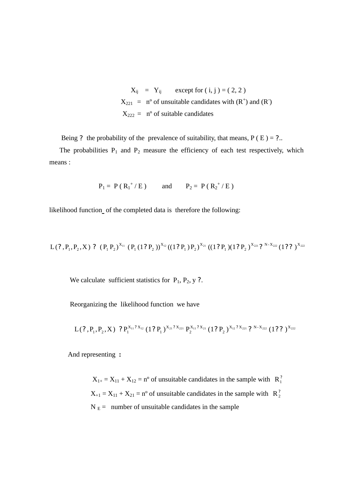$X_{ii}$  = Y<sub>ij</sub> except for  $(i, j) = (2, 2)$  $X_{221} = n^{\circ}$  of unsuitable candidates with  $(R^{+})$  and  $(R^{-})$  $X_{222}$  = n° of suitable candidates

Being ? the probability of the prevalence of suitability, that means,  $P(E) = ?$ ...

The probabilities  $P_1$  and  $P_2$  measure the efficiency of each test respectively, which means :

 $P_1 = P (R_1^+/E)$  and  $P_2 = P (R_2^+/E)$ 

likelihood function of the completed data is therefore the following:

 $^{111}$  (  $\rm P_1$  (  $1?$   $\rm P_2$  )) $^{X_{12}}$  ((  $1?$   $\rm P_1$  ) $\rm P_2$  ) $^{X_{21}}$  ((  $1?$   $\rm P_1$  )(  $1?$   $\rm P_2$  ) $^{X_{221}}$   $2'$   $^{N-X_{222}}$  (  $1?$   $2'$  ) $^{X_{222}}$ X  $1/12$ X  $_1$  (1; 1<sub>2</sub>)  $\mathrm{L}(?, \mathrm{P}_{\mathrm{1}}, \mathrm{P}_{\mathrm{2}}, \mathrm{X})$  ?  $(\mathrm{P}_{\mathrm{1}}\,\mathrm{P}_{\mathrm{2}})^{\mathrm{X}_{11}}$   $(\mathrm{P}_{\mathrm{1}}\,(1\,?\,\mathrm{P}_{\mathrm{2}}\,))^{\mathrm{X}_{12}}((1\,?\,\mathrm{P}_{\mathrm{1}}\,)\mathrm{P}_{\mathrm{2}})^{\mathrm{X}_{21}}$   $((1\,?\,\mathrm{P}_{\mathrm{1}}\,)(1\,?\,\mathrm{P}_{\mathrm{2}}\,)^{\mathrm{X}_{221}}$   $?$   $^{\mathrm{N-X}_{222}}$   $(1\,?\,\mathit{?$ 

We calculate sufficient statistics for  $P_1$ ,  $P_2$ , y ?.

Reorganizing the likelihood function we have

$$
L(?, P_1, P_2, X) , ?P_1^{X_{11} ? X_{12}} (1 ? P_1)^{X_{21} ? X_{221}} P_2^{X_{11} ? X_{21}} (1 ? P_2)^{X_{12} ? X_{221}} ?^{N-X_{222}} (1 ? ? )^{X_{222}}
$$

And representing **:**

 $X_{1+} = X_{11} + X_{12} = n^{\circ}$  of unsuitable candidates in the sample with  $R_1^2$  $X_{+1} = X_{11} + X_{21} = n^{\circ}$  of unsuitable candidates in the sample with  $R_2^2$  $N_E$  = number of unsuitable candidates in the sample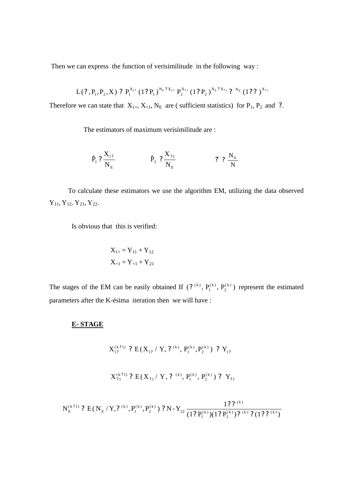Then we can express the function of verisimilitude in the following way :

$$
L(?,P_1,P_2,X) \;?\; P_1^{X_{1?}}\left(1?\;P_1\right)^{N_E\;? \;X_{1?}}\; P_2^{X_{21}}\left(1?\;P_2\,\right)^{N_E\;? \;X_{21}}\;? \; \mathrel{ ^{N_E}}\left(1?\;? \;\right)^{X_{21}}\\
$$

Therefore we can state that  $X_{1+}$ ,  $X_{+1}$ ,  $N_E$  are ( sufficient statistics) for  $P_1$ ,  $P_2$  and ?.

The estimators of maximum verisimilitude are :

$$
\hat{P}_1 ? \frac{X_{1?}}{N_E} \qquad \qquad \hat{P}_2 ? \frac{X_{?1}}{N_E} \qquad \qquad \hat{P}_2 ? \frac{N_E}{N}
$$

 To calculate these estimators we use the algorithm EM, utilizing the data observed  $Y_{11}$ ,  $Y_{12}$ ,  $Y_{21}$ ,  $Y_{22}$ .

Is obvious that this is verified:

$$
X_{1+} = Y_{11} + Y_{12}
$$

$$
X_{+1} = Y_{+1} + Y_{21}
$$

The stages of the EM can be easily obtained If  $(2^{(k)}, P_1^{(k)}, P_2^{(k)})$ 2  $(k)$ 1  $?^{(k)}$ ,  $P_1^{(k)}$ ,  $P_2^{(k)}$ ) represent the estimated parameters after the K-ésima iteration then we will have :

### **E- STAGE**

$$
X_{12}^{(k71)} \text{ ? } E(X_{12} / Y, \text{ ? } ^{(k)}, P_1^{(k)}, P_2^{(k)}) \text{ ? } Y_{12}
$$
\n
$$
X_{21}^{(k71)} \text{ ? } E(X_{21} / Y, \text{ ? } ^{(k)}, P_1^{(k)}, P_2^{(k)}) \text{ ? } Y_{21}
$$
\n
$$
N_E^{(k71)} \text{ ? } E(N_E / Y, \text{ ? } ^{(k)}, P_1^{(k)}, P_2^{(k)}) \text{ ? } N - Y_{22} \frac{1? \text{ ? } ^{(k)}}{(1? P_1^{(k)})(1? P_2^{(k)}) \text{ ? } ^{(k)}, \text{ ? } (1? \text{ ? } ^{(k)})}
$$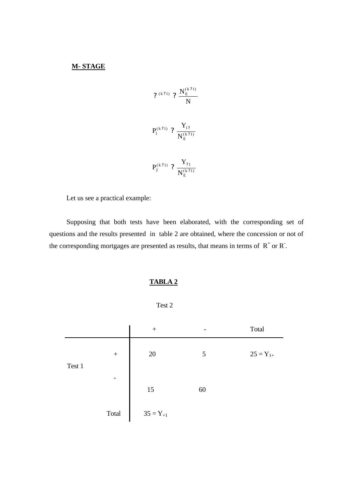## **M- STAGE**

N N ( k 1) ( k 1) E ? ? *?* ? ( <sup>k</sup> 1) E ( k 1) 1 1 N Y P ? ? ? ? ( <sup>k</sup> 1) E N P ? ( k 1) 1 2 Y ? ? ?

Let us see a practical example:

 Supposing that both tests have been elaborated, with the corresponding set of questions and the results presented in table 2 are obtained, where the concession or not of the corresponding mortgages are presented as results, that means in terms of  $R^+$  or  $R^-$ .

# **TABLA 2**

Test 2

|        |                  | $^{+}$        |    | Total         |
|--------|------------------|---------------|----|---------------|
| Test 1 | $\boldsymbol{+}$ | 20            | 5  | $25 = Y_{1+}$ |
|        |                  | 15            | 60 |               |
|        | Total            | $35 = Y_{+1}$ |    |               |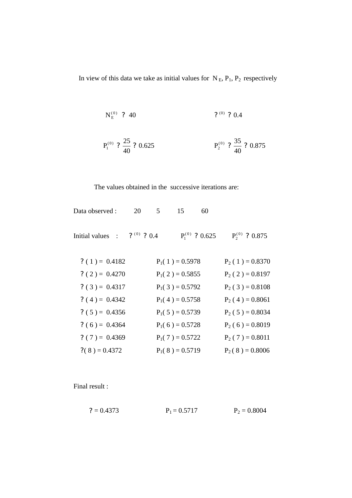In view of this data we take as initial values for  $N_E$ ,  $P_1$ ,  $P_2$  respectively

$$
N_{\rm E}^{(0)} \quad ? \quad 40 \qquad \qquad ? \quad 0.4
$$

$$
P_1^{(0)}
$$
 ?  $\frac{25}{40}$  ? 0.625  $P_2^{(0)}$  ?  $\frac{35}{40}$  ? 0.875

# The values obtained in the successive iterations are:

| Data observed :  | 20              | 5 | 15                | 60                  |                     |
|------------------|-----------------|---|-------------------|---------------------|---------------------|
| Initial values : | $?^{(0)}$ ? 0.4 |   |                   | $P_1^{(0)}$ ? 0.625 | $P_2^{(0)}$ ? 0.875 |
| $?(1) = 0.4182$  |                 |   | $P_1(1) = 0.5978$ |                     | $P_2(1) = 0.8370$   |
| $? (2) = 0.4270$ |                 |   | $P_1(2) = 0.5855$ |                     | $P_2(2) = 0.8197$   |
| $? (3) = 0.4317$ |                 |   | $P_1(3) = 0.5792$ |                     | $P_2(3) = 0.8108$   |
| $? (4) = 0.4342$ |                 |   | $P_1(4) = 0.5758$ |                     | $P_2(4) = 0.8061$   |
| $? (5) = 0.4356$ |                 |   | $P_1(5) = 0.5739$ |                     | $P_2(5) = 0.8034$   |
| $? (6) = 0.4364$ |                 |   | $P_1(6) = 0.5728$ |                     | $P_2(6) = 0.8019$   |
| $? (7) = 0.4369$ |                 |   | $P_1(7) = 0.5722$ |                     | $P_2(7) = 0.8011$   |
| $?(8) = 0.4372$  |                 |   | $P_1(8) = 0.5719$ |                     | $P_2(8) = 0.8006$   |
|                  |                 |   |                   |                     |                     |

Final result :

$$
P_1 = 0.5717
$$
  $P_2 = 0.8004$